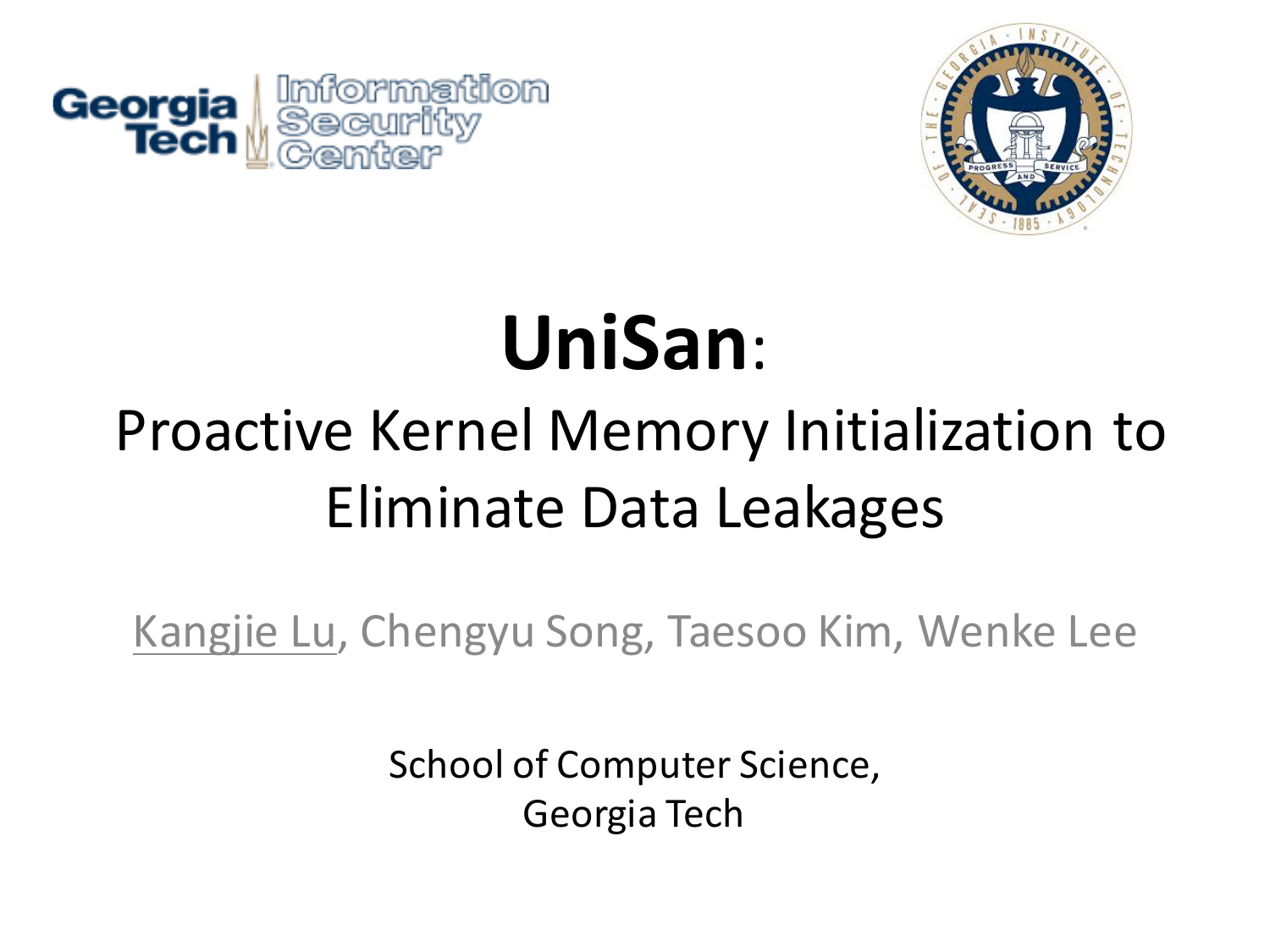



# **UniSan**:

#### Proactive Kernel Memory Initialization to Eliminate Data Leakages

Kangjie Lu, Chengyu Song, Taesoo Kim, Wenke Lee

School of Computer Science, Georgia Tech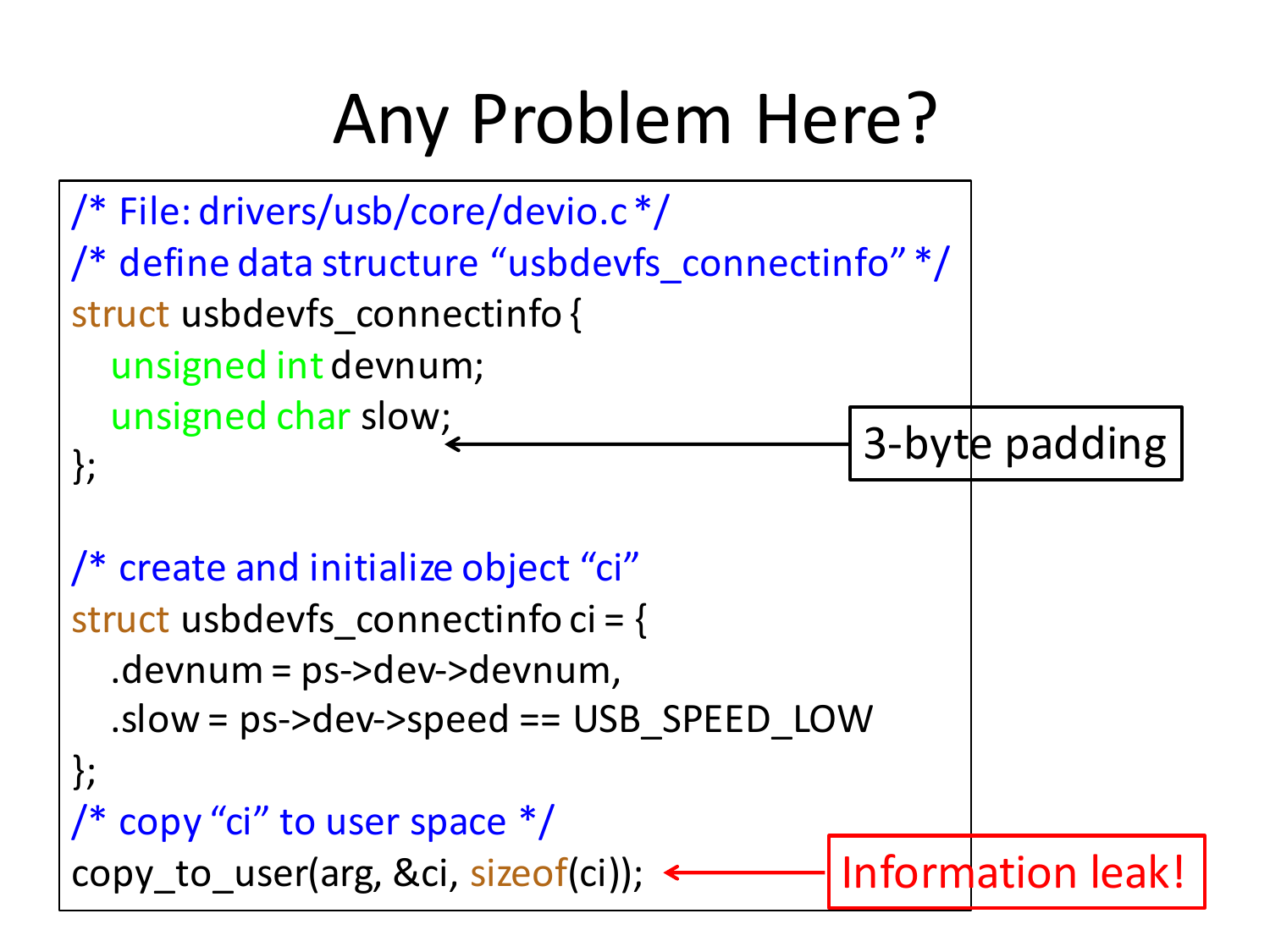## Any Problem Here?

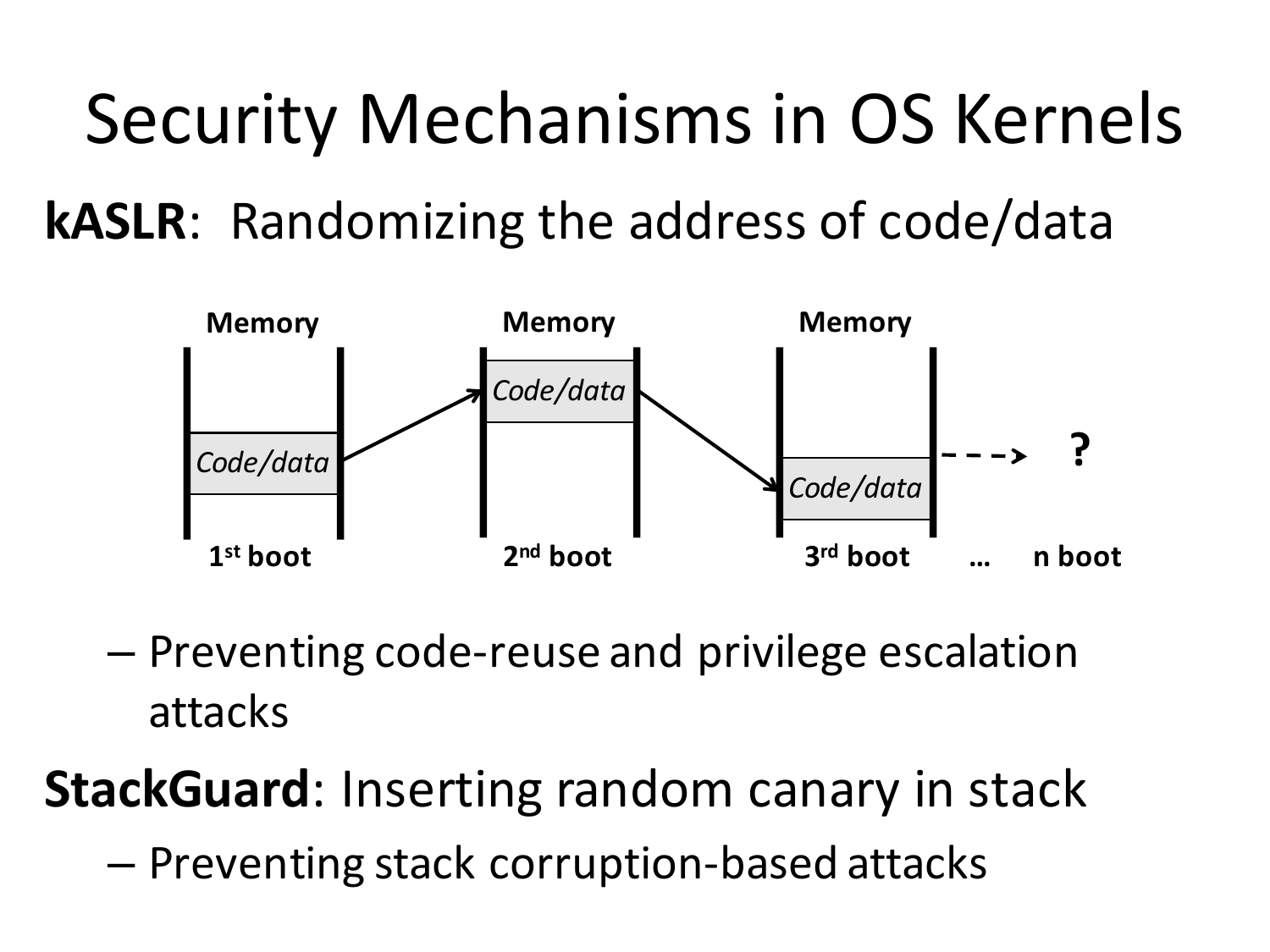Security Mechanisms in OS Kernels **kASLR**: Randomizing the address of code/data



 $-$  Preventing code-reuse and privilege escalation attacks

**StackGuard:** Inserting random canary in stack

 $-$  Preventing stack corruption-based attacks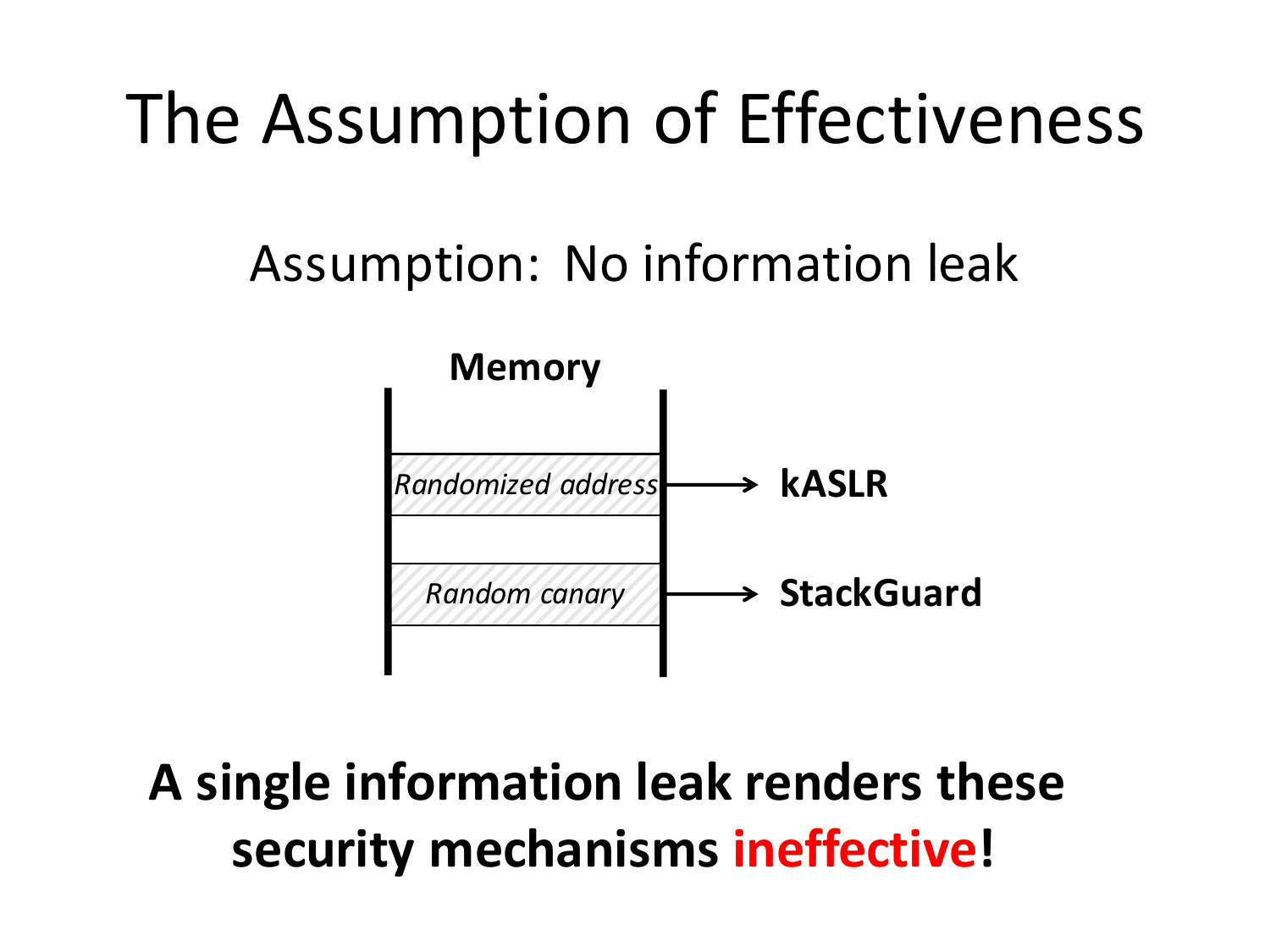#### The Assumption of Effectiveness

#### Assumption: No information leak



A single information leak renders these **security mechanisms ineffective!**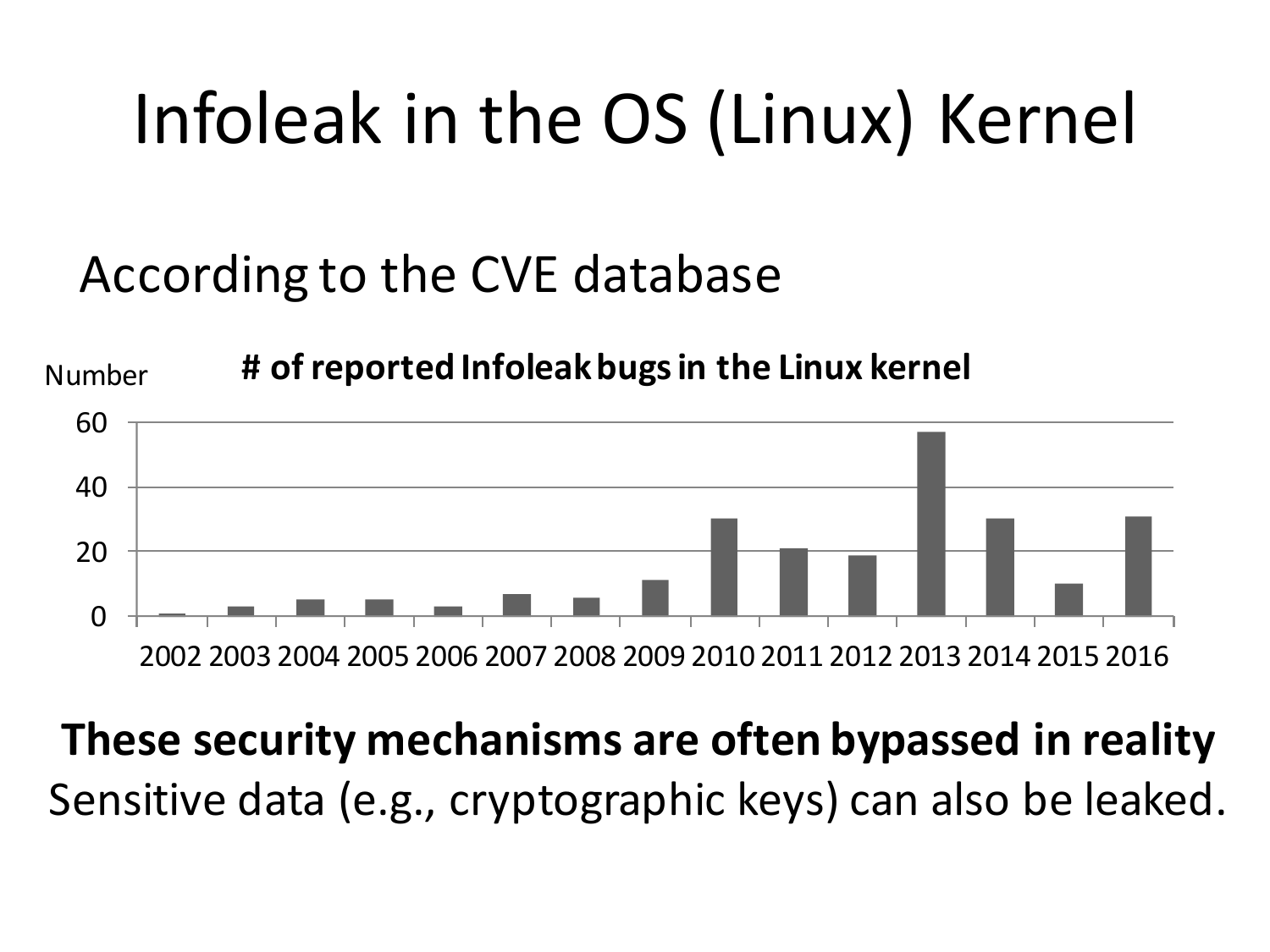# Infoleak in the OS (Linux) Kernel

#### According to the CVE database



#### **These security mechanisms are often bypassed in reality** Sensitive data (e.g., cryptographic keys) can also be leaked.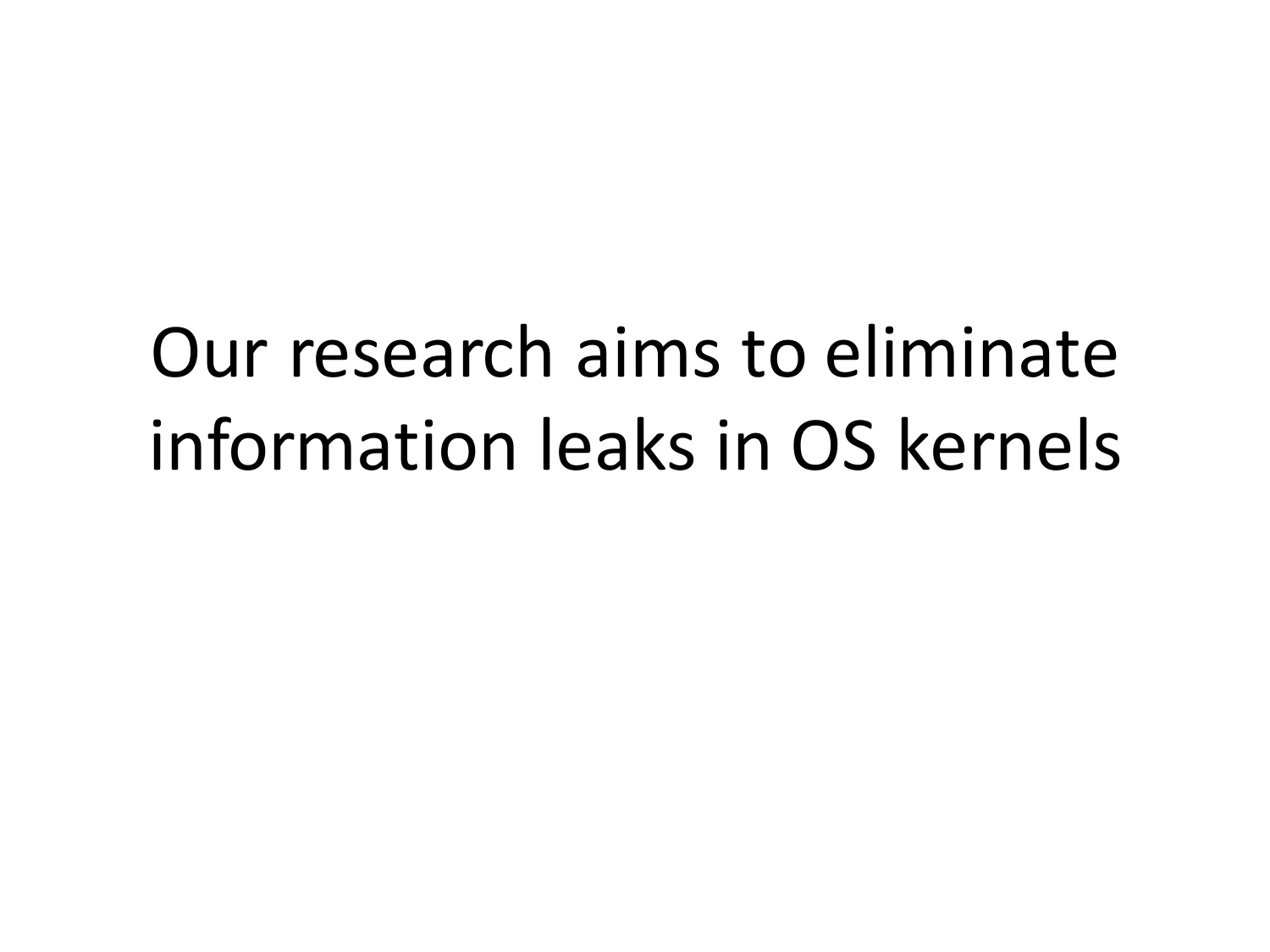# Our research aims to eliminate information leaks in OS kernels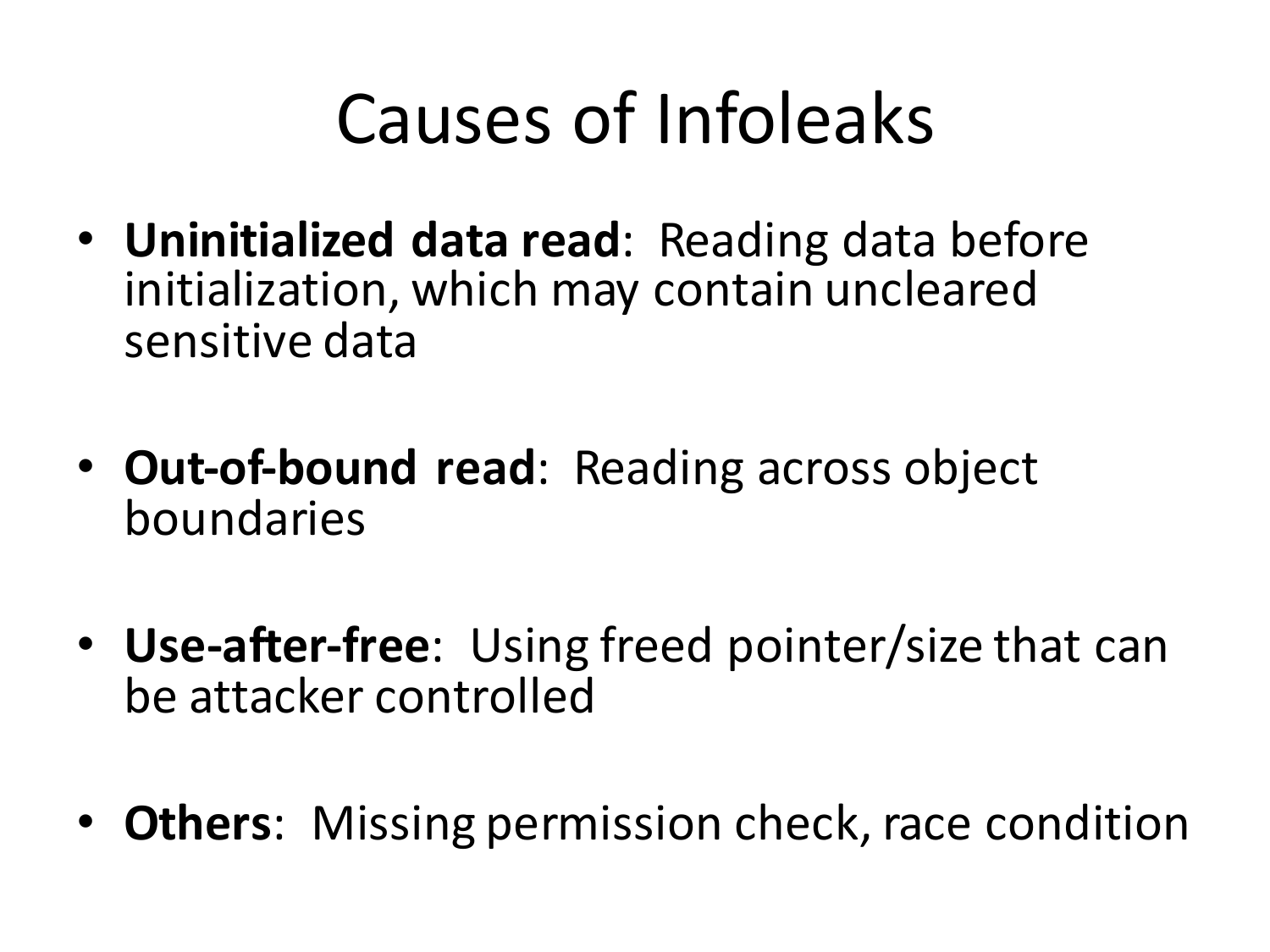## Causes of Infoleaks

- **Uninitialized data read**: Reading data before initialization, which may contain uncleared sensitive data
- **Out-of-bound read**: Reading across object boundaries
- Use-after-free: Using freed pointer/size that can be attacker controlled
- Others: Missing permission check, race condition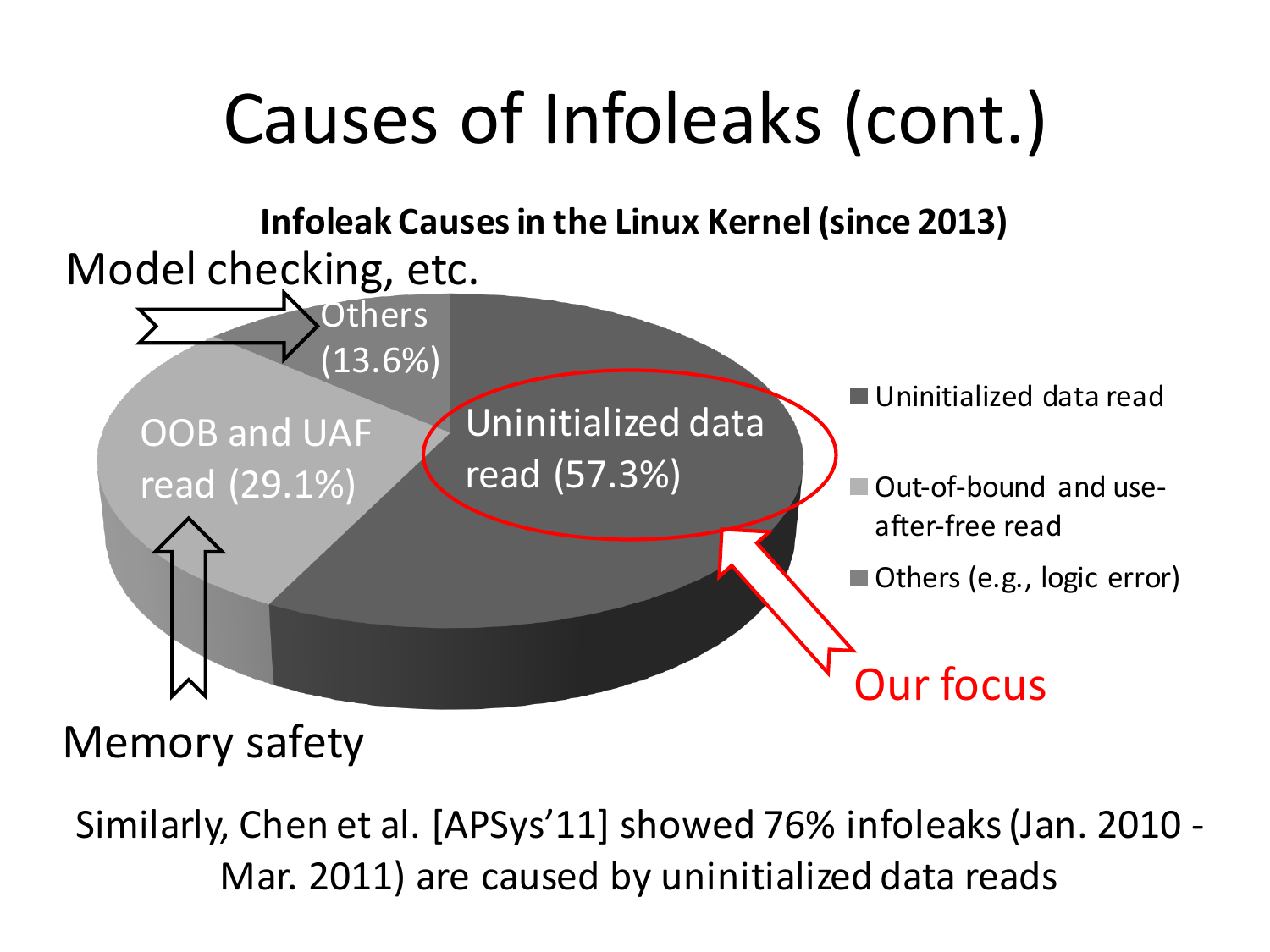

#### Memory safety

Similarly, Chen et al. [APSys'11] showed 76% infoleaks (Jan. 2010 -Mar. 2011) are caused by uninitialized data reads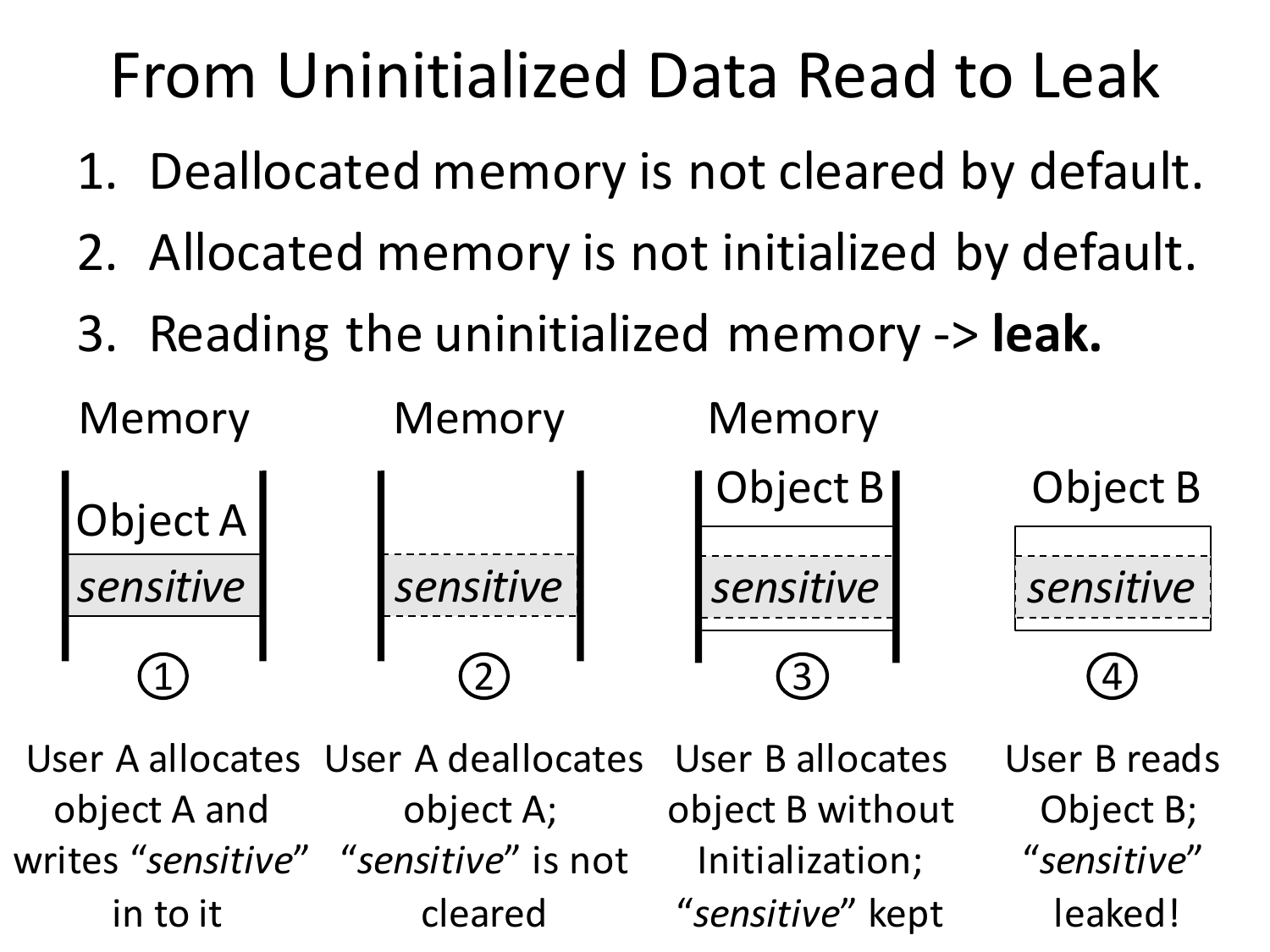#### From Uninitialized Data Read to Leak

- 1. Deallocated memory is not cleared by default.
- 2. Allocated memory is not initialized by default.
- 3. Reading the uninitialized memory  $\rightarrow$  **leak.**



Object B;

"*sensitive*" 

leaked!

User A allocates User A deallocates object A and object A; writes "sensitive" "sensitive" is not in to it cleared User B allocates object B without Initialization; "*sensitive*" kept User B reads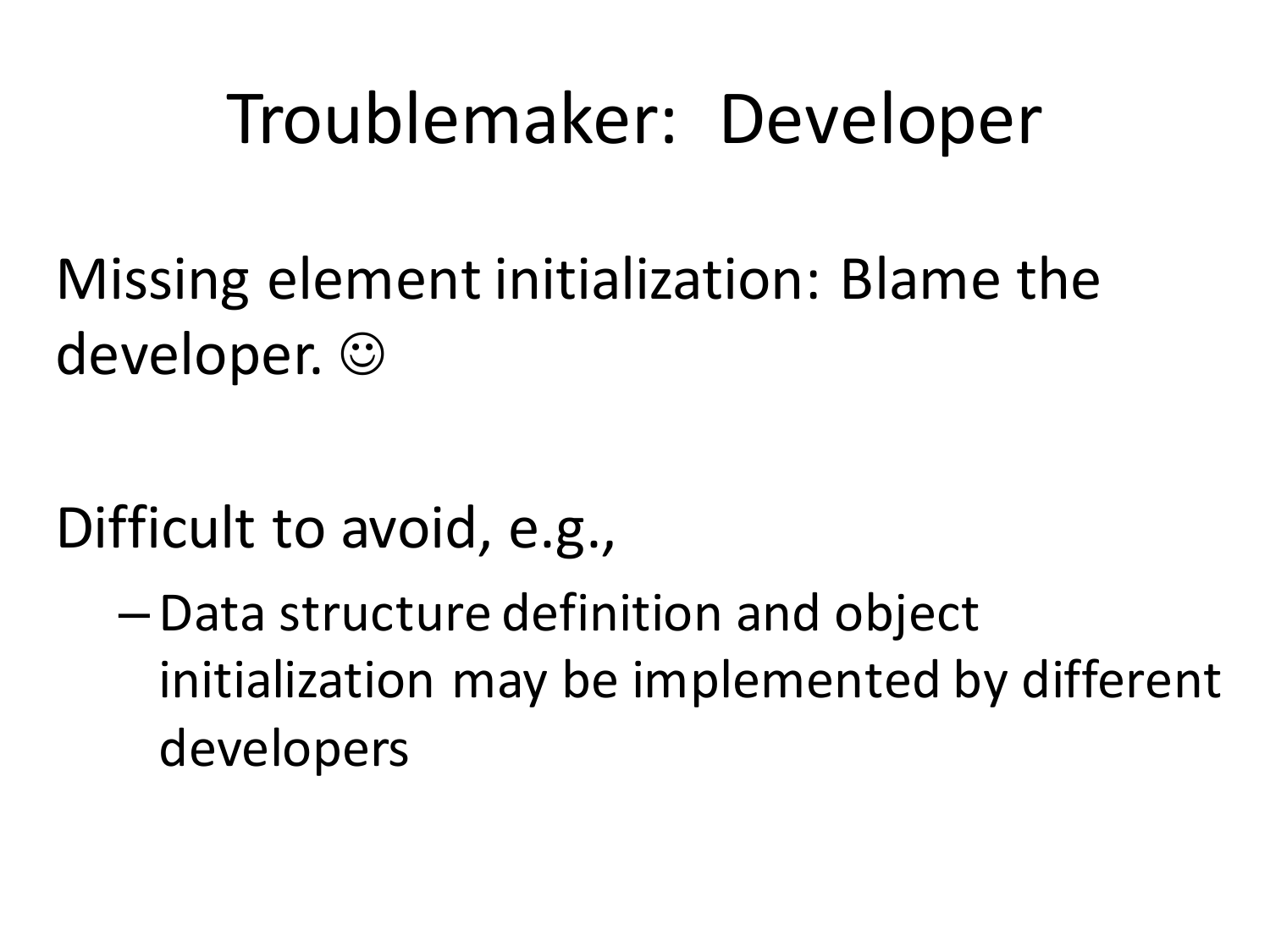#### Troublemaker: Developer

Missing element initialization: Blame the developer.  $\odot$ 

- Difficult to avoid, e.g.,
	- Data structure definition and object initialization may be implemented by different developers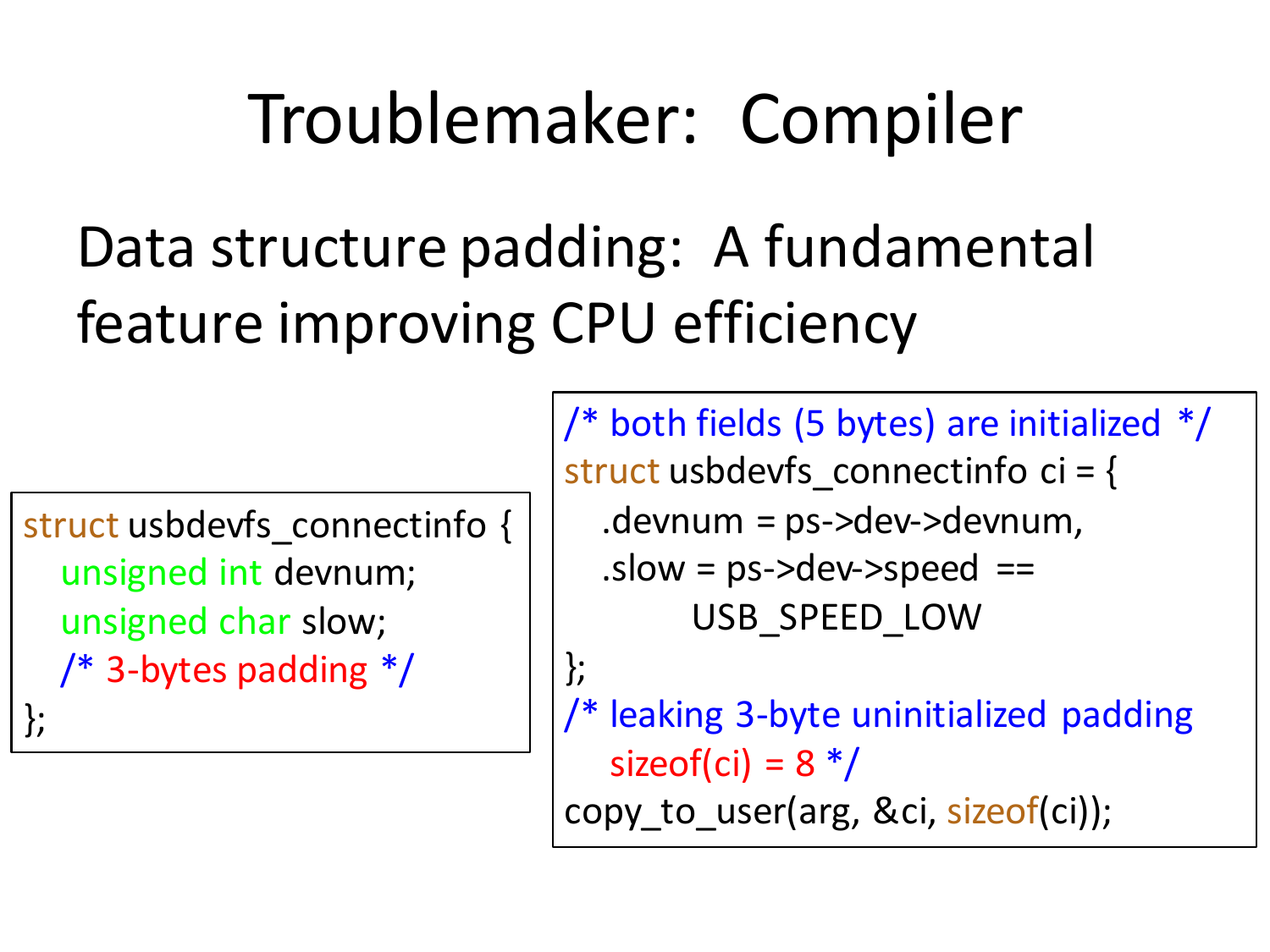## Troublemaker: Compiler

#### Data structure padding: A fundamental feature improving CPU efficiency

```
struct usbdevfs_connectinfo {
unsigned int devnum;
unsigned char slow;
/* 3-bytes padding */};
```
/\* both fields (5 bytes) are initialized  $*/$ struct usbdevfs connectinfo ci =  $\{$  $dev$ -devnum = ps->dev->devnum,  $s$ .slow =  $ps$ ->dev->speed == USB\_SPEED\_LOW }; /\* leaking 3-byte uninitialized padding

sizeof(ci) =  $8*/$ copy to user(arg, &ci, sizeof(ci));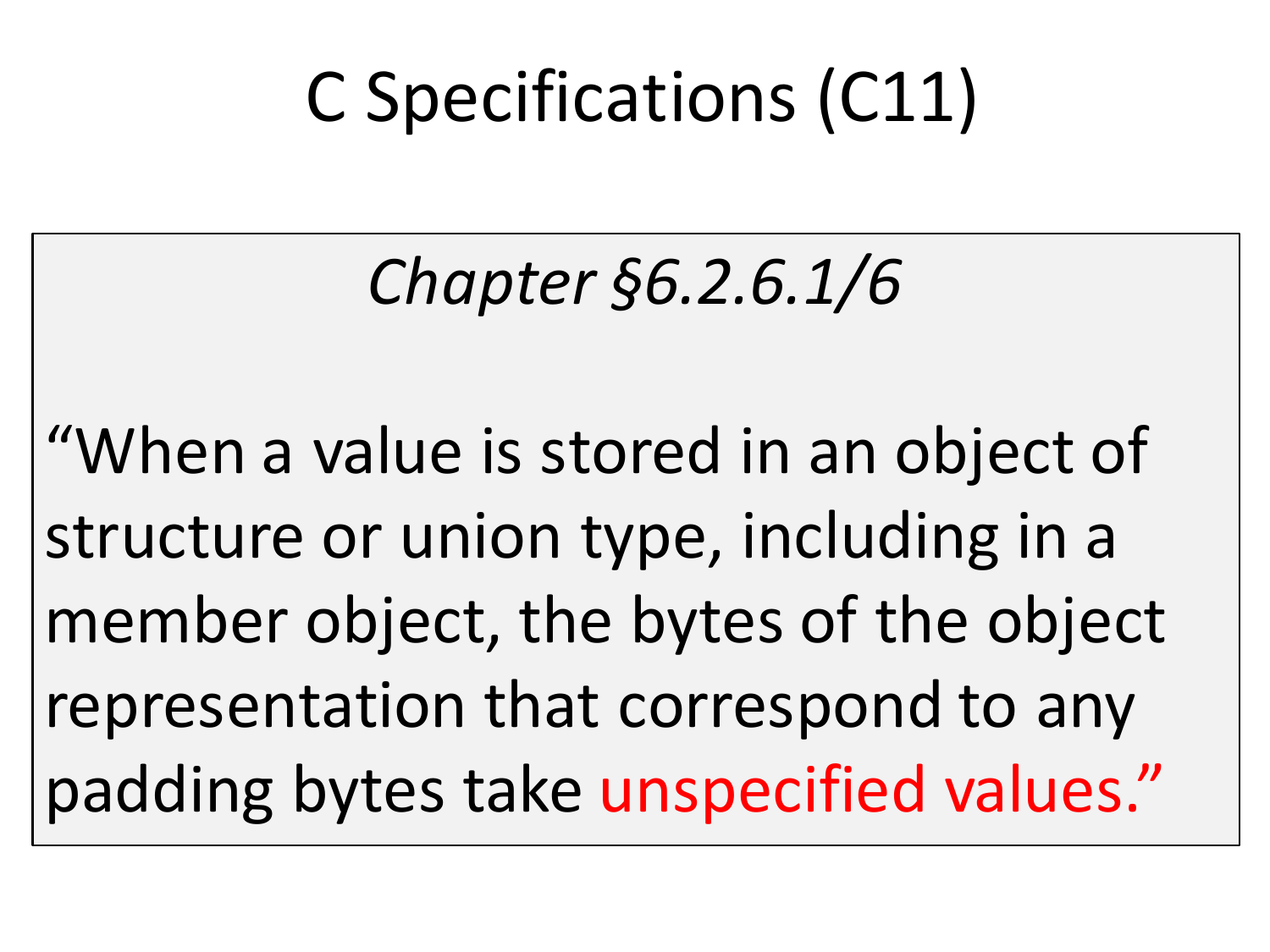## C Specifications (C11)

#### *Chapter §6.2.6.1/6*

"When a value is stored in an object of structure or union type, including in a member object, the bytes of the object representation that correspond to any padding bytes take unspecified values."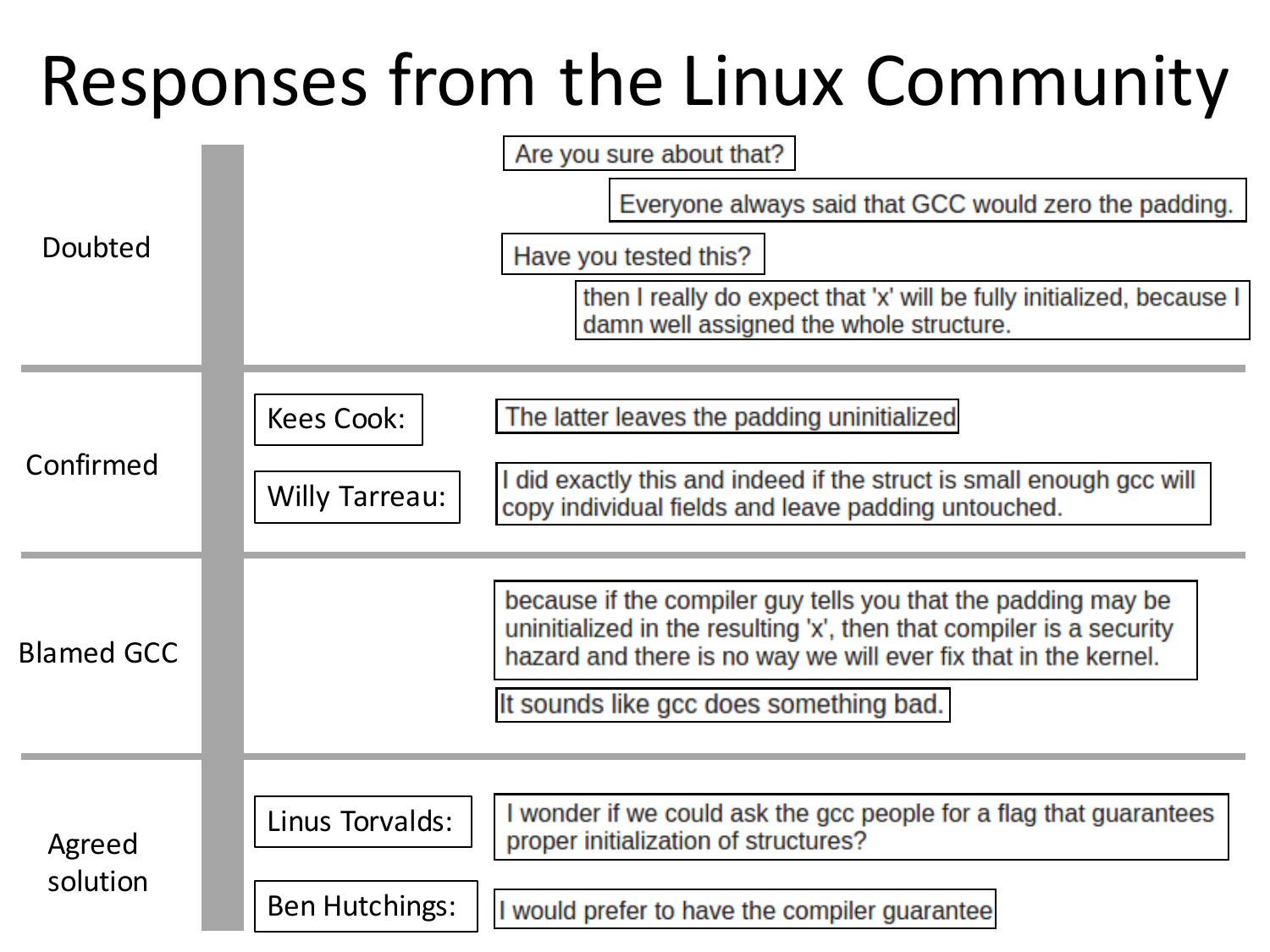#### Responses from the Linux Community

|                    | Are you sure about that?                                                                                                                                                                                 |
|--------------------|----------------------------------------------------------------------------------------------------------------------------------------------------------------------------------------------------------|
| Doubted            | Everyone always said that GCC would zero the padding.                                                                                                                                                    |
|                    | Have you tested this?                                                                                                                                                                                    |
|                    | then I really do expect that 'x' will be fully initialized, because I<br>damn well assigned the whole structure.                                                                                         |
|                    |                                                                                                                                                                                                          |
| Confirmed          | <b>Kees Cook:</b><br>The latter leaves the padding uninitialized                                                                                                                                         |
|                    | I did exactly this and indeed if the struct is small enough gcc will<br><b>Willy Tarreau:</b><br>copy individual fields and leave padding untouched.                                                     |
|                    |                                                                                                                                                                                                          |
| <b>Blamed GCC</b>  | because if the compiler guy tells you that the padding may be<br>uninitialized in the resulting 'x', then that compiler is a security<br>hazard and there is no way we will ever fix that in the kernel. |
|                    | It sounds like gcc does something bad.                                                                                                                                                                   |
|                    |                                                                                                                                                                                                          |
| Agreed<br>solution | I wonder if we could ask the gcc people for a flag that guarantees<br>Linus Torvalds:<br>proper initialization of structures?                                                                            |
|                    | <b>Ben Hutchings:</b><br>I would prefer to have the compiler guarantee                                                                                                                                   |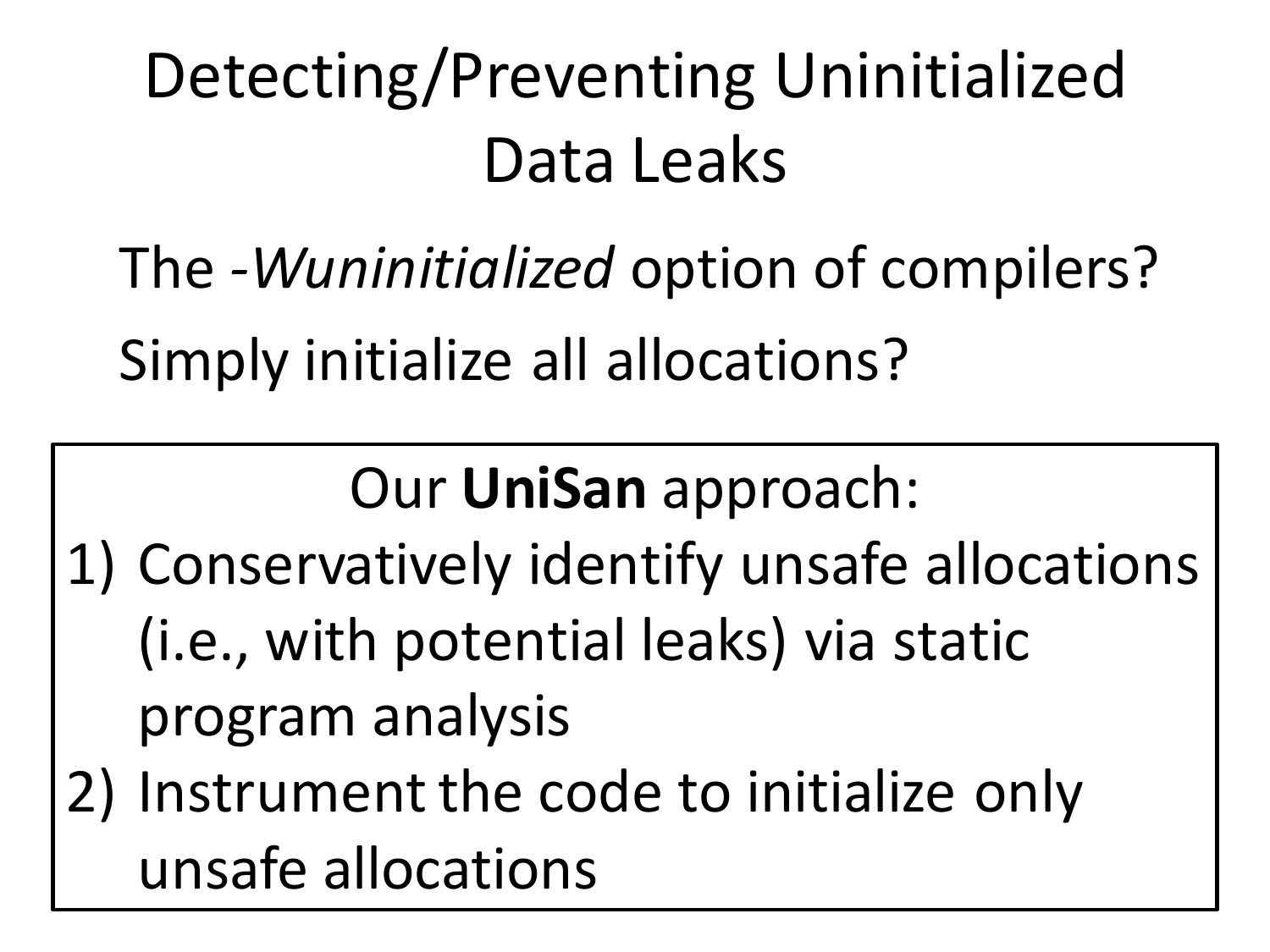## Detecting/Preventing Uninitialized Data Leaks

The *-Wuninitialized* option of compilers? Simply initialize all allocations?

Our **UniSan** approach: 

- 1) Conservatively identify unsafe allocations (i.e., with potential leaks) via static program analysis
- 2) Instrument the code to initialize only unsafe allocations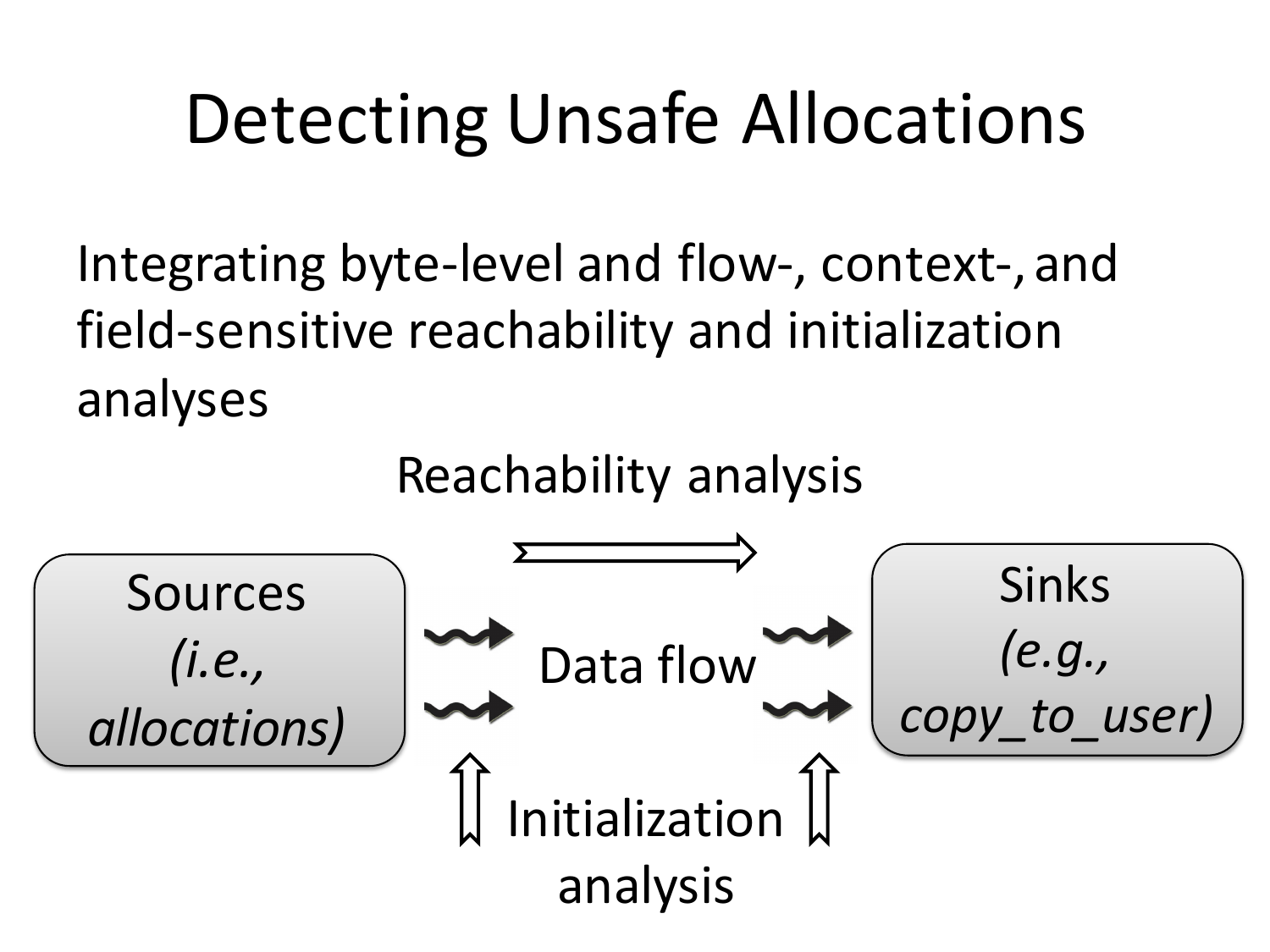## Detecting Unsafe Allocations

Integrating byte-level and flow-, context-, and field-sensitive reachability and initialization analyses

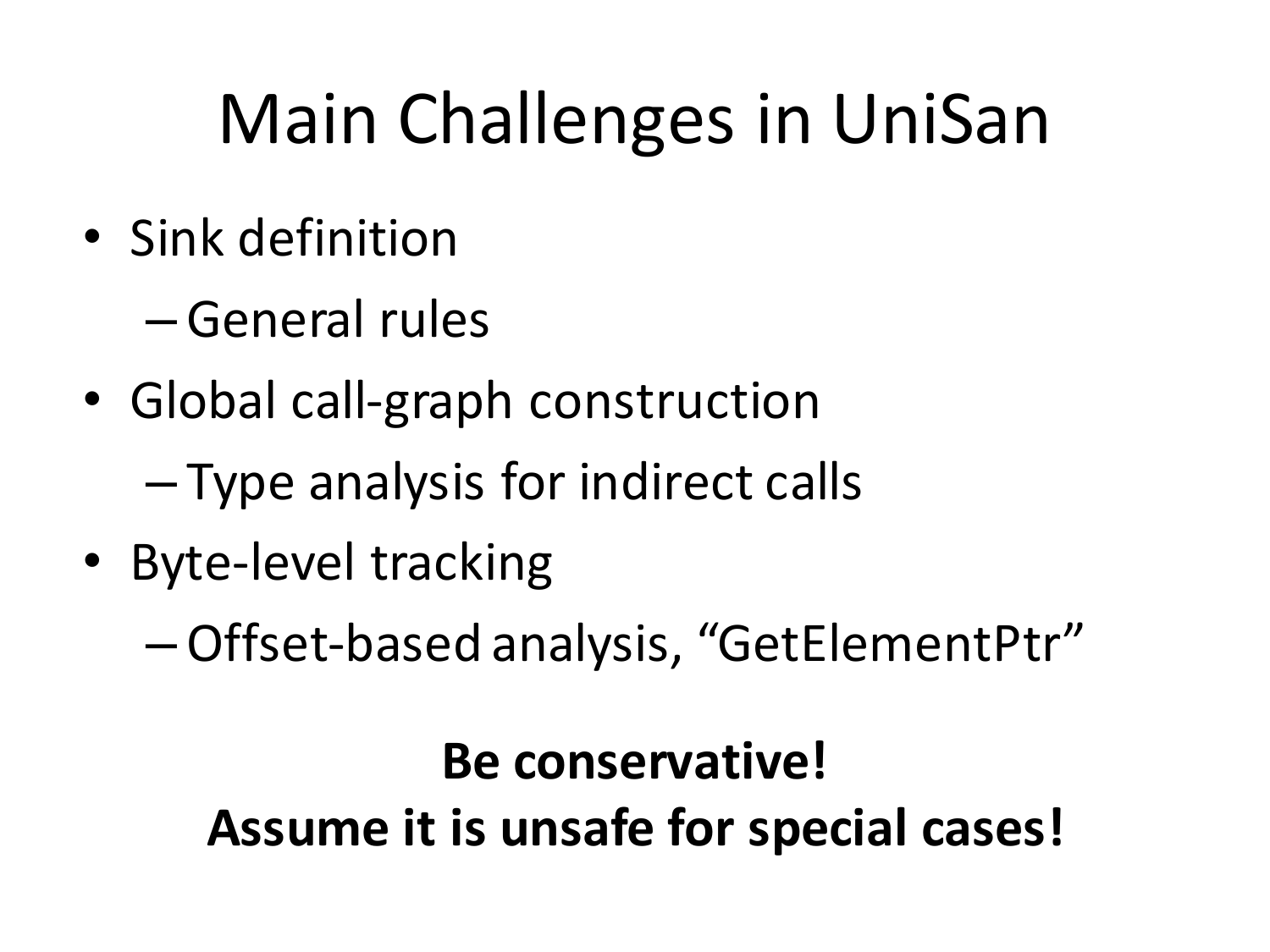# Main Challenges in UniSan

• Sink definition

– General rules

• Global call-graph construction

 $-$  Type analysis for indirect calls

• Byte-level tracking

–Offset-based analysis, "GetElementPtr"

#### **Be conservative!** Assume it is unsafe for special cases!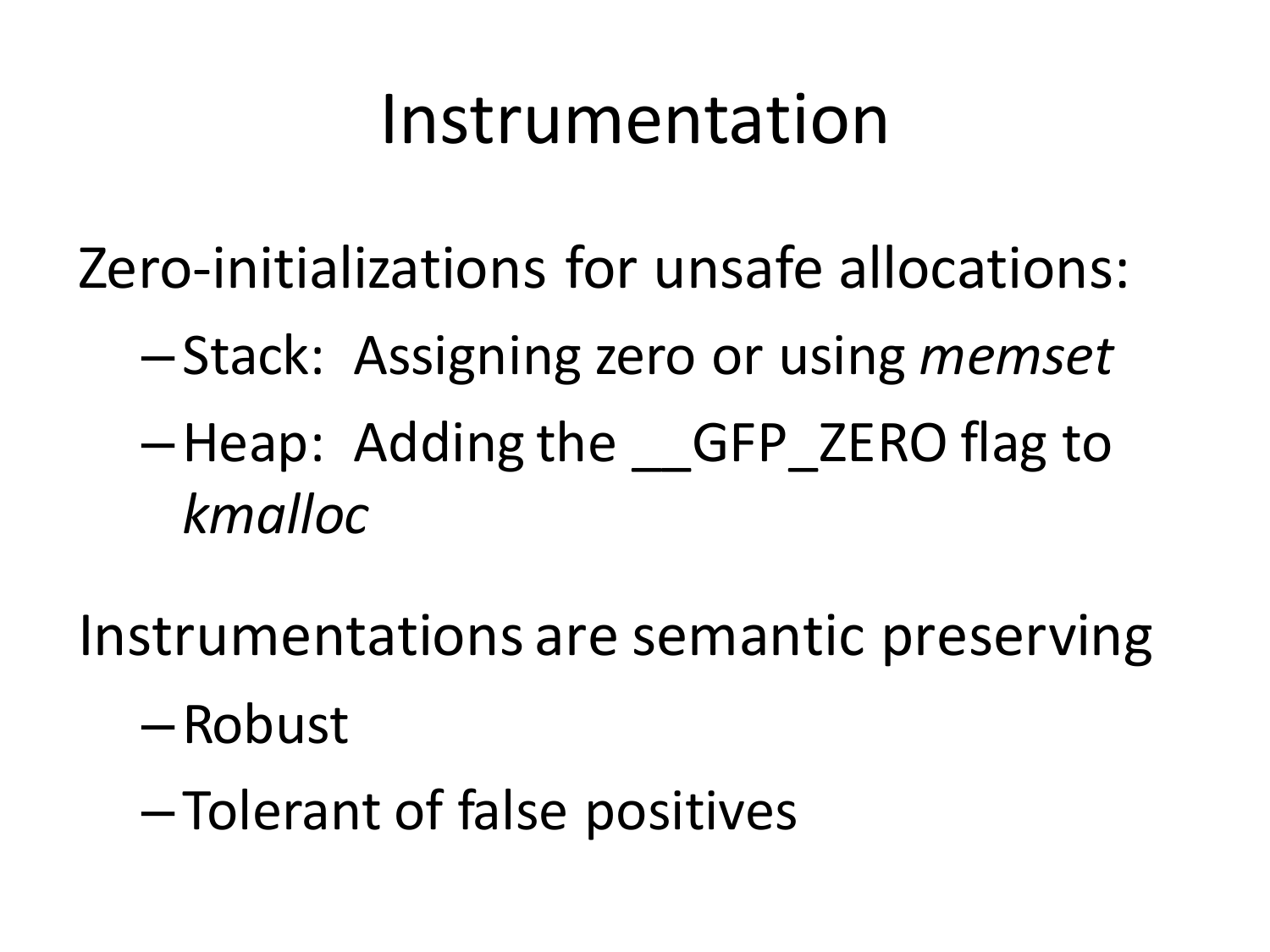#### Instrumentation

Zero-initializations for unsafe allocations:

- –Stack: Assigning zero or using *memset*
- –Heap: Adding the \_\_GFP\_ZERO flag to *kmalloc*
- Instrumentations are semantic preserving
	- –Robust
	- –Tolerant of false positives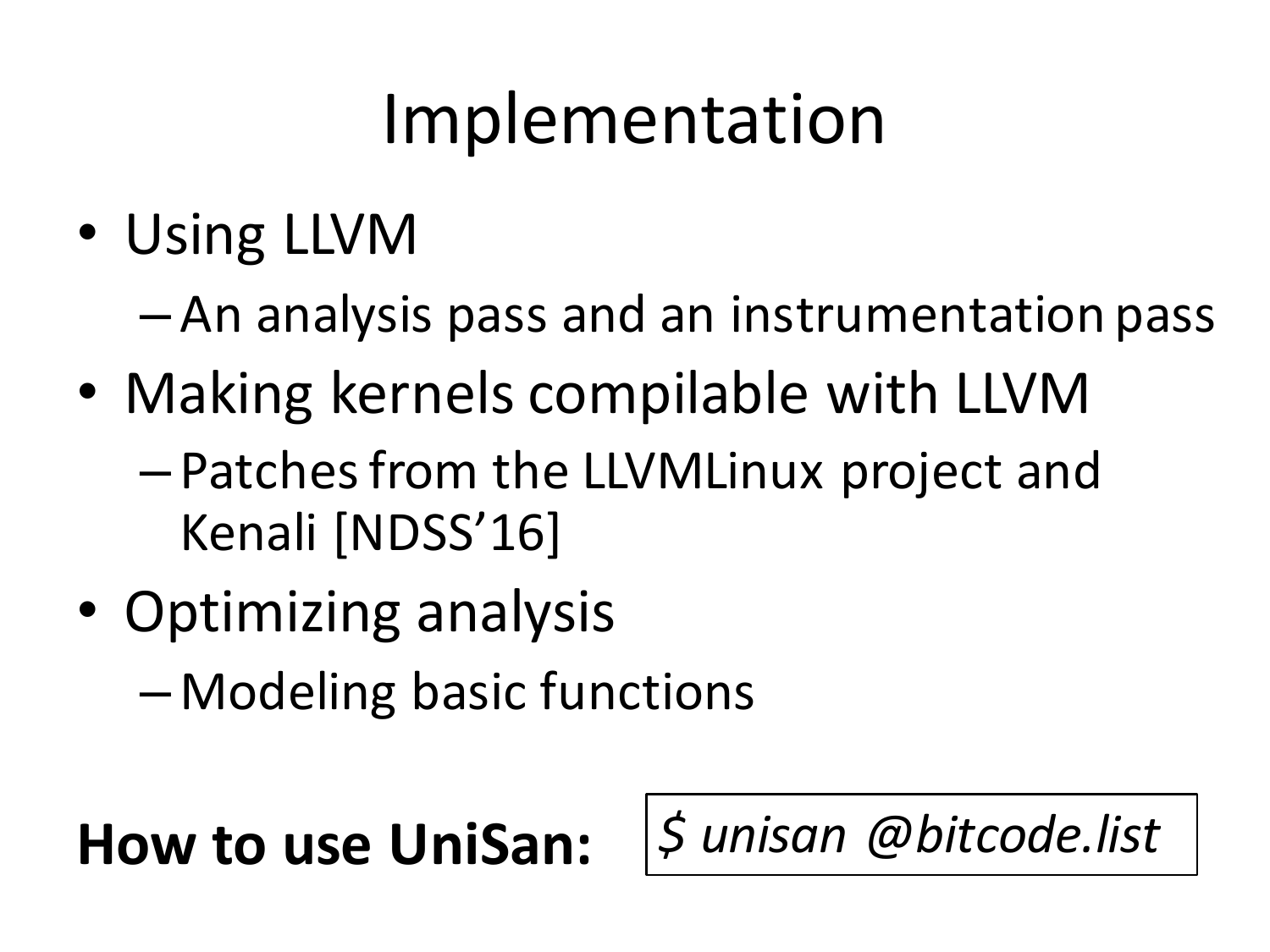## Implementation

- Using LLVM
	- $-$  An analysis pass and an instrumentation pass
- Making kernels compilable with LLVM  $-$  Patches from the LLVMLinux project and Kenali [NDSS'16]
- Optimizing analysis
	- Modeling basic functions

#### **How to use UniSan:**  $\frac{1}{2}$  *unisan @bitcode.list*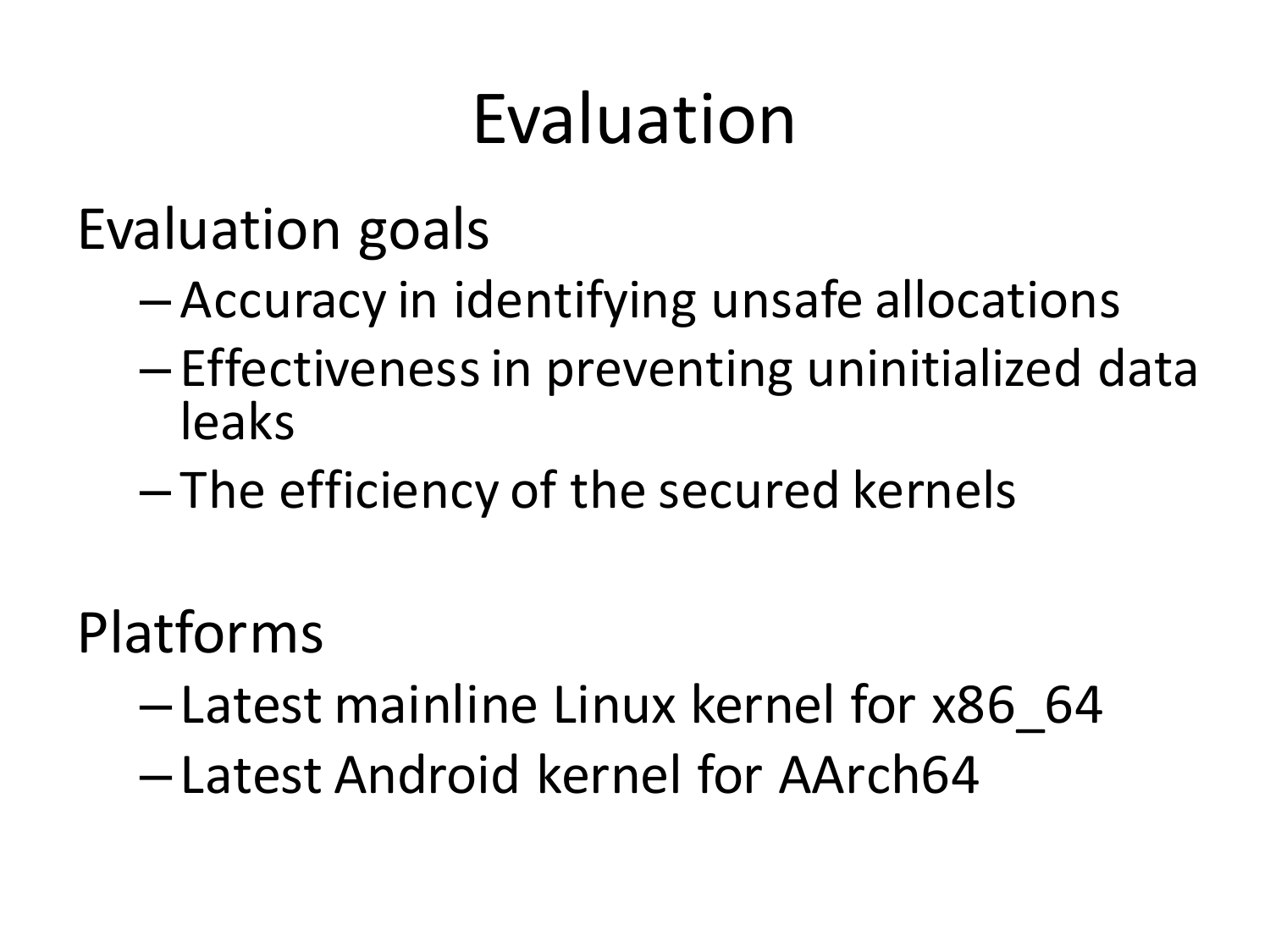## Evaluation

Evaluation goals

- $-$  Accuracy in identifying unsafe allocations
- $-$  Effectiveness in preventing uninitialized data leaks
- $-$  The efficiency of the secured kernels

Platforms

- Latest mainline Linux kernel for x86\_64
- Latest Android kernel for AArch64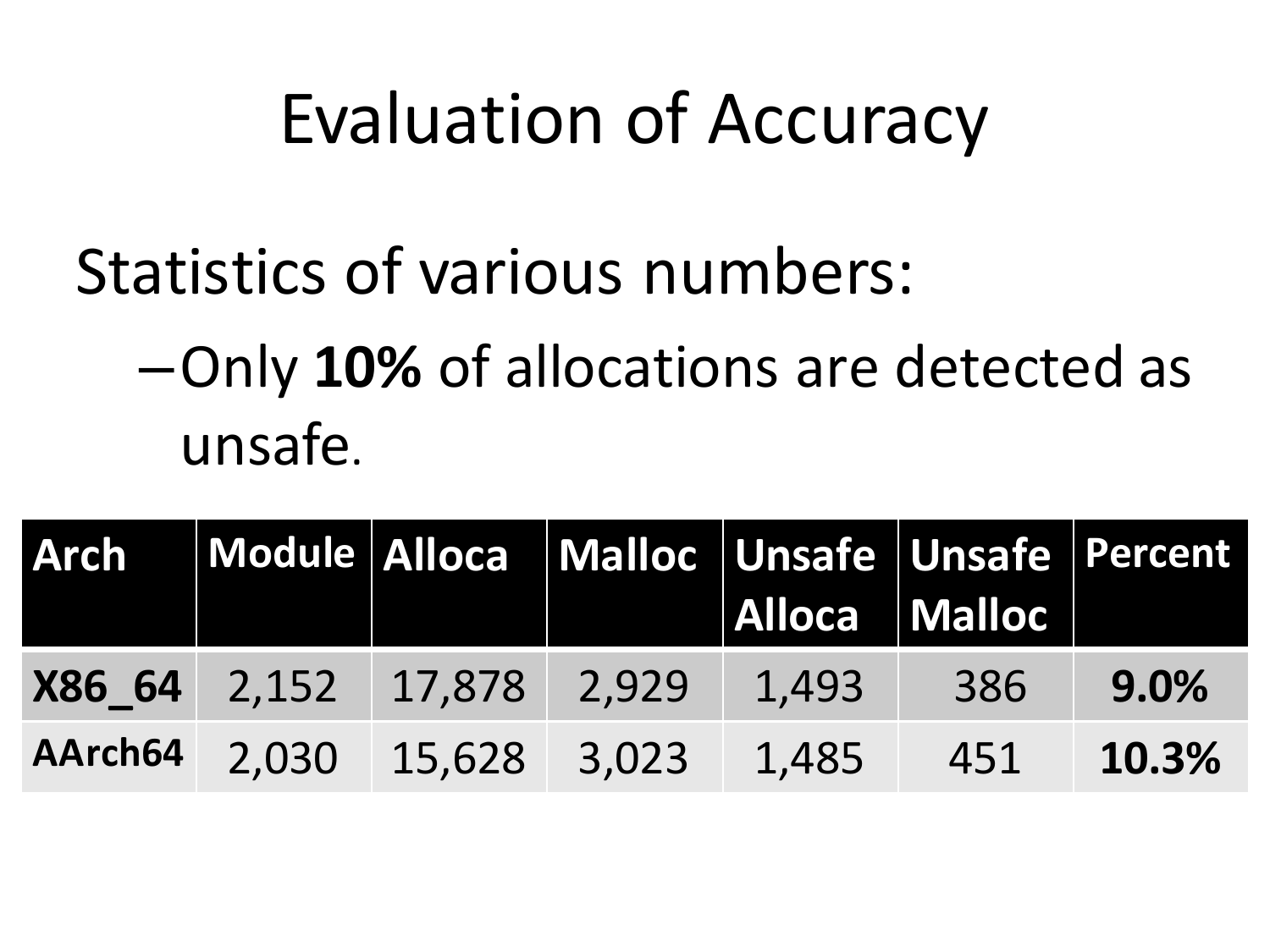#### Evaluation of Accuracy

#### Statistics of various numbers:

#### $-$ Only **10%** of allocations are detected as unsafe.

| <b>Arch</b> |                     |                            |       | Module Alloca Malloc Unsafe Unsafe Percent<br>Alloca Malloc |     |       |
|-------------|---------------------|----------------------------|-------|-------------------------------------------------------------|-----|-------|
|             | X86 64 2,152 17,878 |                            | 2,929 | 1,493                                                       | 386 | 9.0%  |
|             |                     | AArch64 2,030 15,628 3,023 |       | 1,485                                                       | 451 | 10.3% |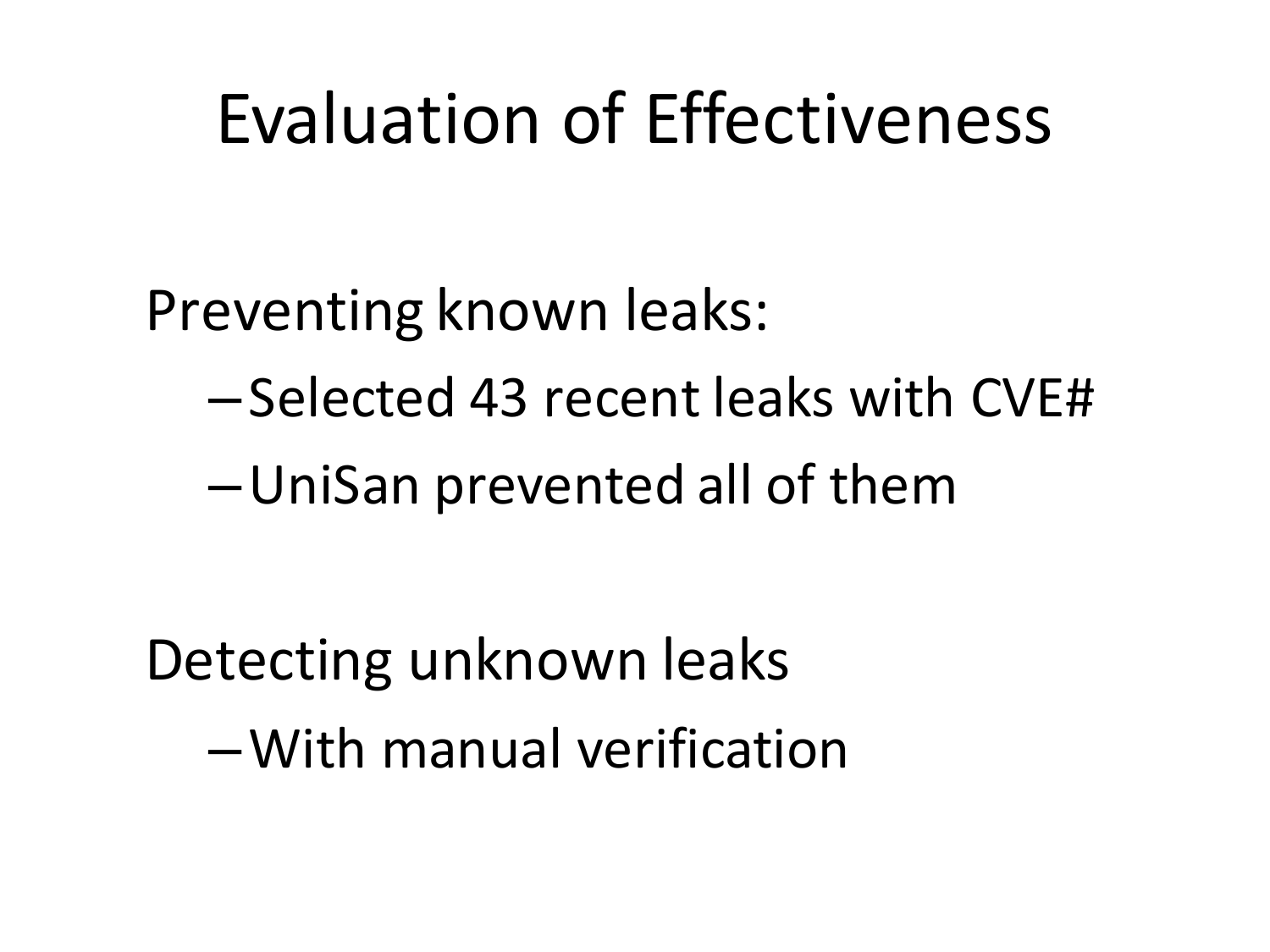#### Evaluation of Effectiveness

Preventing known leaks:

- –Selected 43 recent leaks with CVE#
- –UniSan prevented all of them

Detecting unknown leaks –With manual verification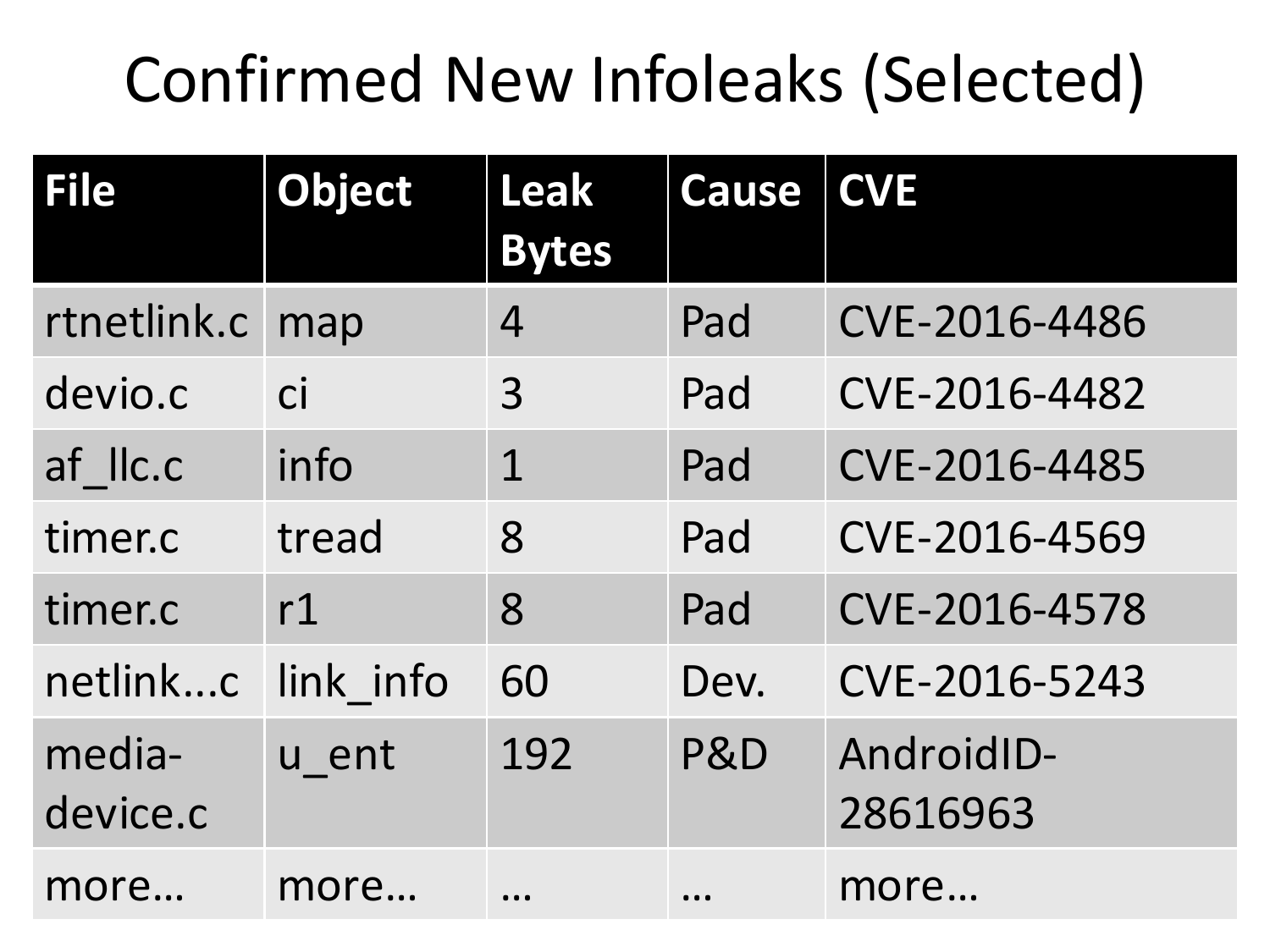#### Confirmed New Infoleaks (Selected)

| File               | <b>Object</b> | Leak<br><b>Bytes</b>          | <b>Cause</b> | <b>CVE</b>             |
|--------------------|---------------|-------------------------------|--------------|------------------------|
| rtnetlink.c        | map           | 4                             | Pad          | CVE-2016-4486          |
| devio.c            | <b>Ci</b>     | 3                             | Pad          | CVE-2016-4482          |
| af IIc.c           | info          | $\mathbf 1$                   | Pad          | CVE-2016-4485          |
| timer.c            | tread         | 8                             | Pad          | CVE-2016-4569          |
| timer.c            | r1            | 8                             | Pad          | CVE-2016-4578          |
| netlinkc           | link info     | 60                            | Dev.         | CVE-2016-5243          |
| media-<br>device.c | u ent         | 192                           | P&D          | AndroidID-<br>28616963 |
| more               | more          | $\bullet$ $\bullet$ $\bullet$ | $\cdots$     | more                   |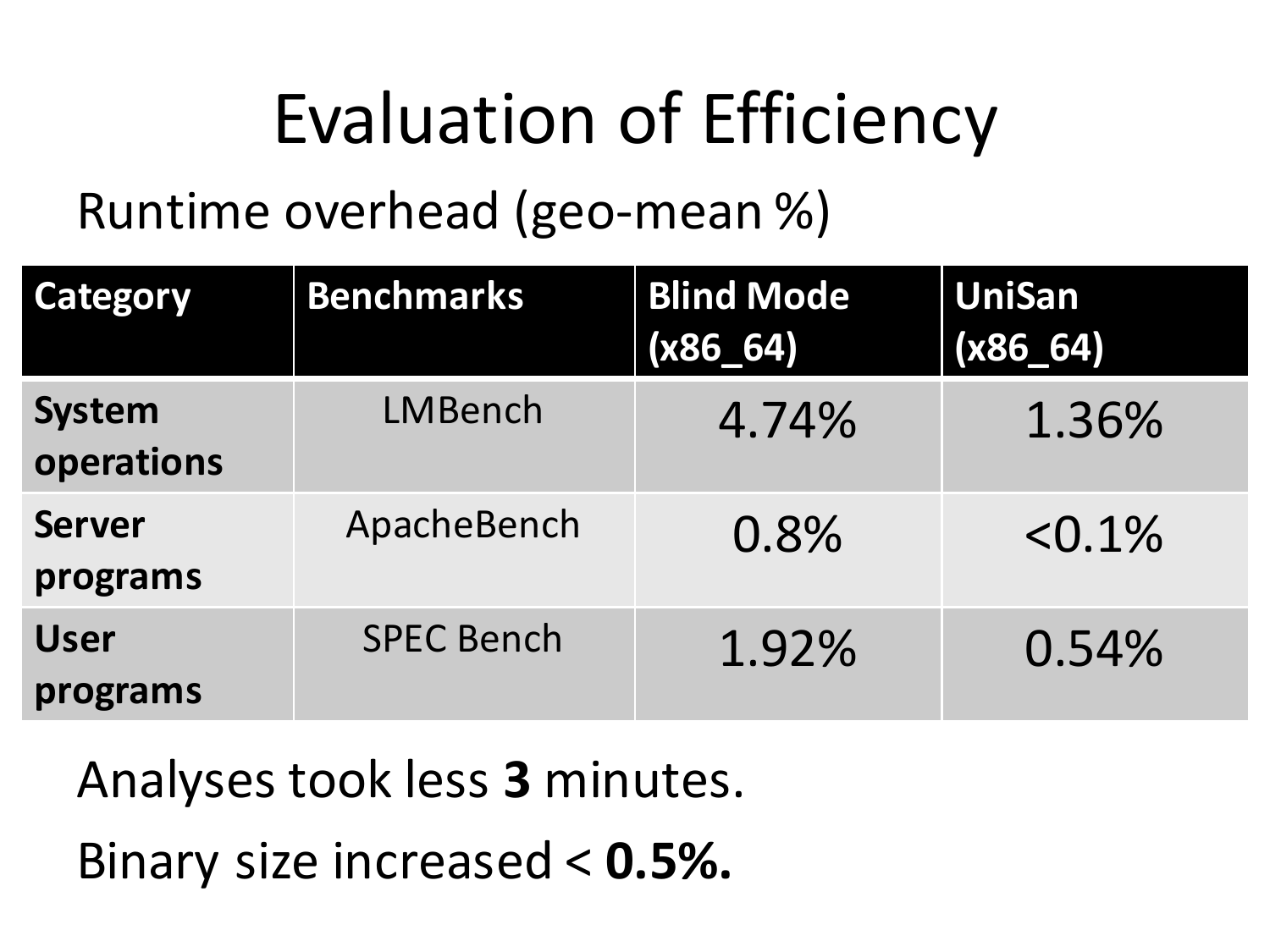## Evaluation of Efficiency

Runtime overhead (geo-mean %)

| <b>Category</b>             | <b>Benchmarks</b> | <b>Blind Mode</b><br>$(x86_64)$ | <b>UniSan</b><br>$(x86_64)$ |
|-----------------------------|-------------------|---------------------------------|-----------------------------|
| <b>System</b><br>operations | LMBench           | 4.74%                           | 1.36%                       |
| <b>Server</b><br>programs   | ApacheBench       | 0.8%                            | $< 0.1\%$                   |
| <b>User</b><br>programs     | <b>SPEC Bench</b> | 1.92%                           | 0.54%                       |

Analyses took less 3 minutes.

Binary size increased <  $0.5\%$ .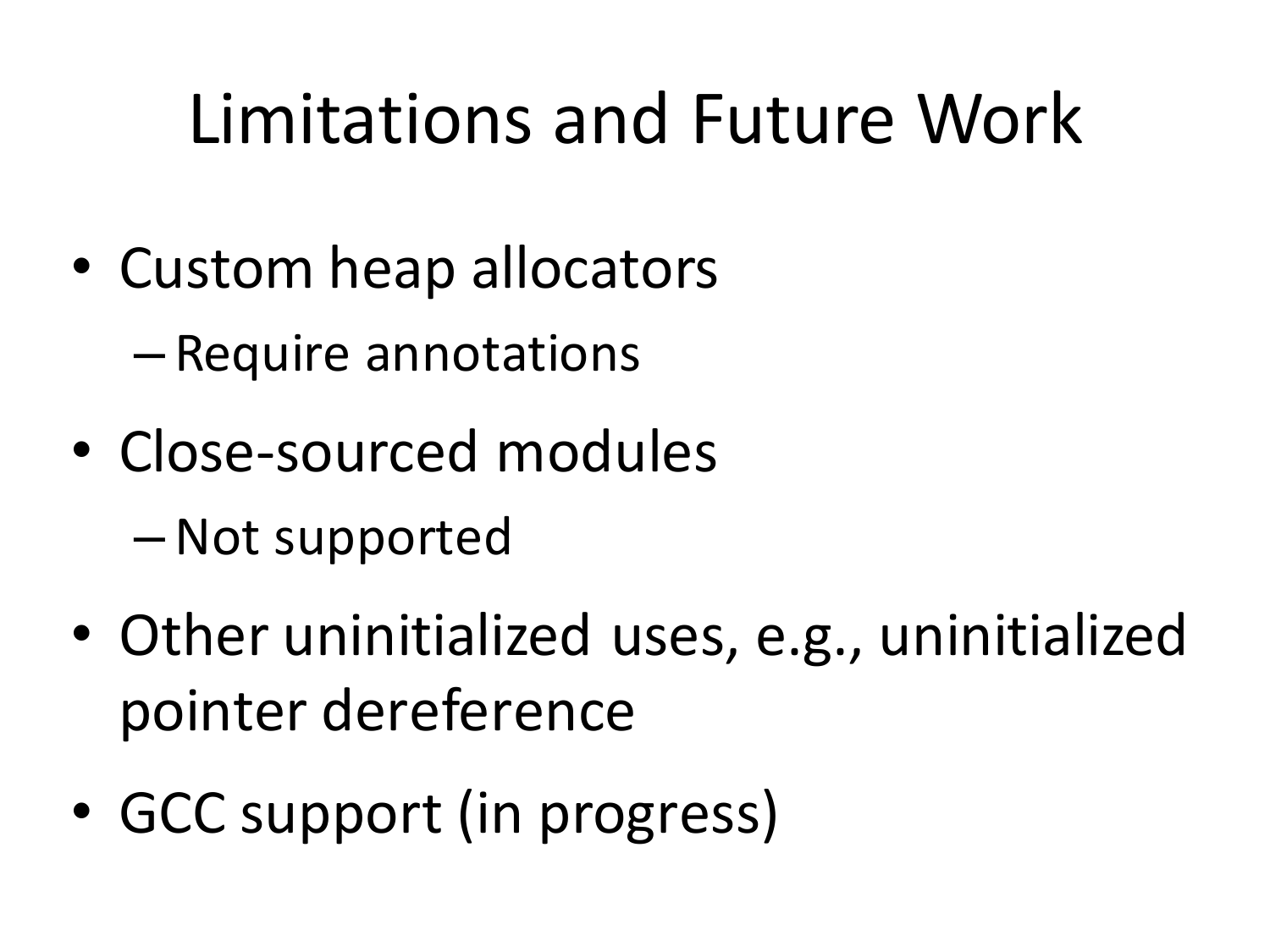## Limitations and Future Work

- Custom heap allocators
	- Require annotations
- Close-sourced modules – Not supported
- Other uninitialized uses, e.g., uninitialized pointer dereference
- GCC support (in progress)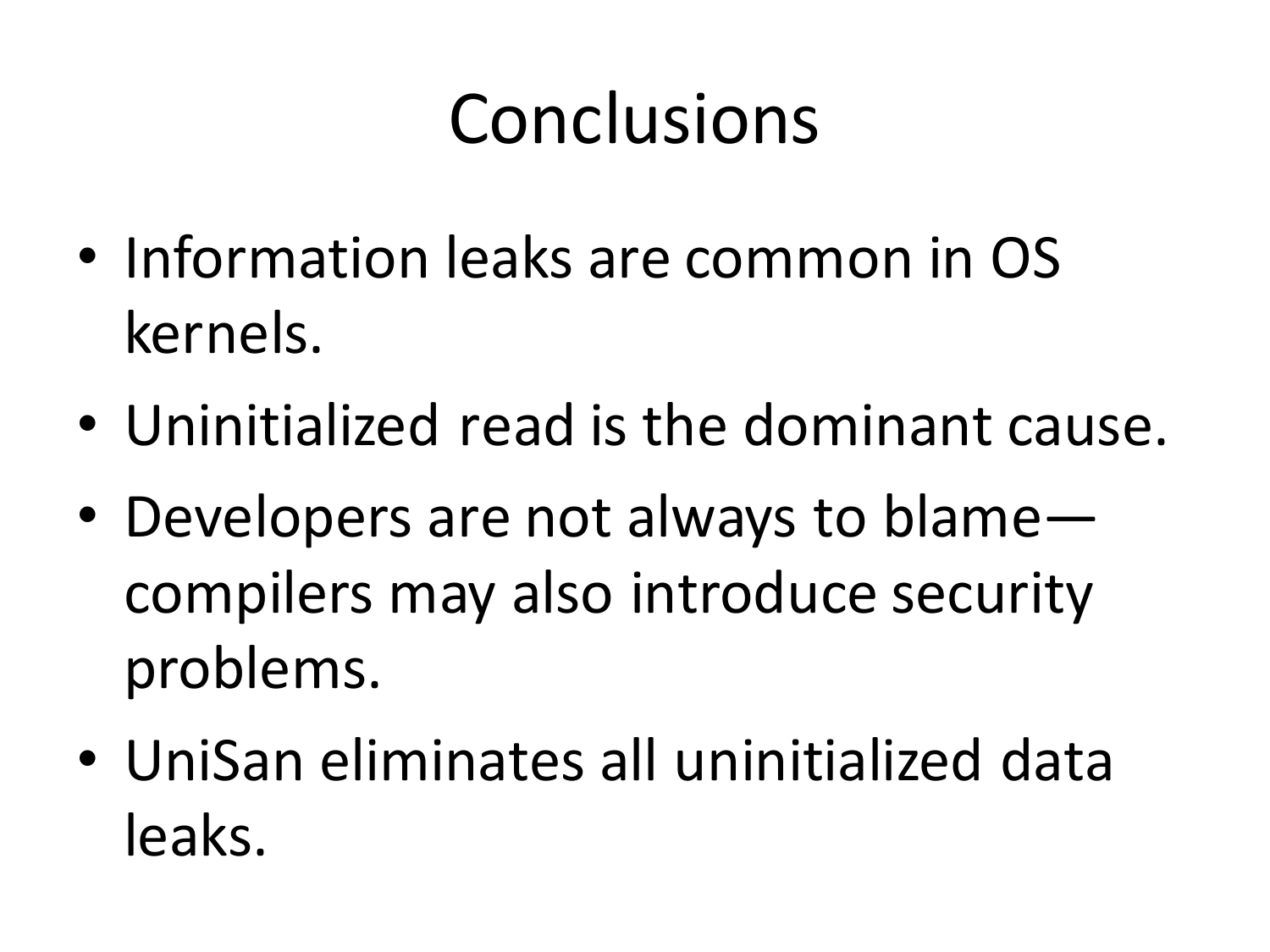## Conclusions

- Information leaks are common in OS kernels.
- Uninitialized read is the dominant cause.
- Developers are not always to blame compilers may also introduce security problems.
- UniSan eliminates all uninitialized data leaks.